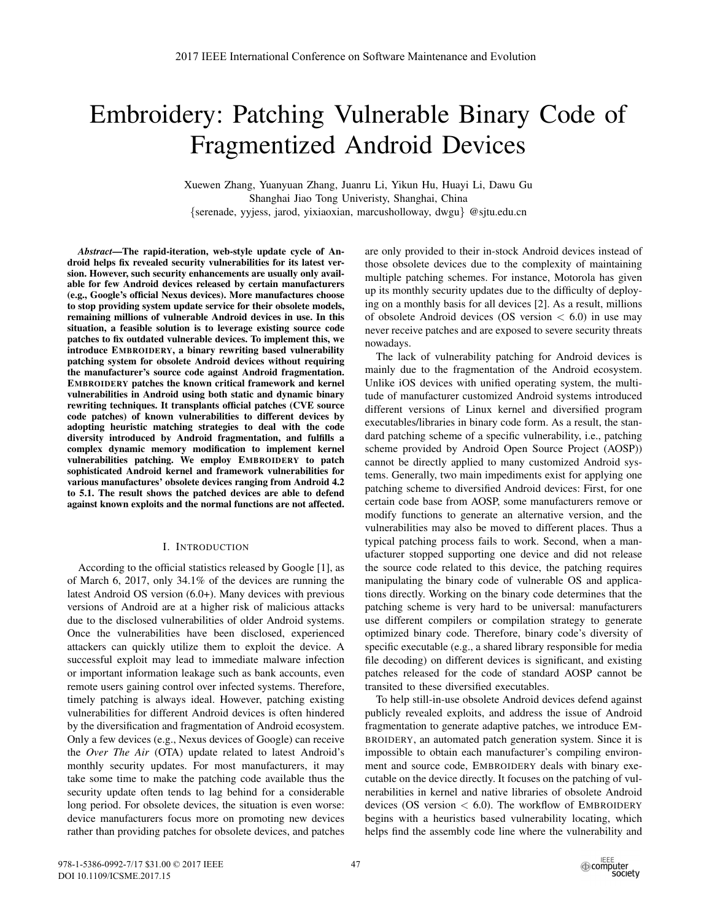# Embroidery: Patching Vulnerable Binary Code of Fragmentized Android Devices

Xuewen Zhang, Yuanyuan Zhang, Juanru Li, Yikun Hu, Huayi Li, Dawu Gu Shanghai Jiao Tong Univeristy, Shanghai, China {serenade, yyjess, jarod, yixiaoxian, marcusholloway, dwgu} @sjtu.edu.cn

*Abstract*—The rapid-iteration, web-style update cycle of Android helps fix revealed security vulnerabilities for its latest version. However, such security enhancements are usually only available for few Android devices released by certain manufacturers (e.g., Google's official Nexus devices). More manufactures choose to stop providing system update service for their obsolete models, remaining millions of vulnerable Android devices in use. In this situation, a feasible solution is to leverage existing source code patches to fix outdated vulnerable devices. To implement this, we introduce EMBROIDERY, a binary rewriting based vulnerability patching system for obsolete Android devices without requiring the manufacturer's source code against Android fragmentation. EMBROIDERY patches the known critical framework and kernel vulnerabilities in Android using both static and dynamic binary rewriting techniques. It transplants official patches (CVE source code patches) of known vulnerabilities to different devices by adopting heuristic matching strategies to deal with the code diversity introduced by Android fragmentation, and fulfills a complex dynamic memory modification to implement kernel vulnerabilities patching. We employ EMBROIDERY to patch sophisticated Android kernel and framework vulnerabilities for various manufactures' obsolete devices ranging from Android 4.2 to 5.1. The result shows the patched devices are able to defend against known exploits and the normal functions are not affected.

#### I. INTRODUCTION

According to the official statistics released by Google [1], as of March 6, 2017, only 34.1% of the devices are running the latest Android OS version (6.0+). Many devices with previous versions of Android are at a higher risk of malicious attacks due to the disclosed vulnerabilities of older Android systems. Once the vulnerabilities have been disclosed, experienced attackers can quickly utilize them to exploit the device. A successful exploit may lead to immediate malware infection or important information leakage such as bank accounts, even remote users gaining control over infected systems. Therefore, timely patching is always ideal. However, patching existing vulnerabilities for different Android devices is often hindered by the diversification and fragmentation of Android ecosystem. Only a few devices (e.g., Nexus devices of Google) can receive the *Over The Air* (OTA) update related to latest Android's monthly security updates. For most manufacturers, it may take some time to make the patching code available thus the security update often tends to lag behind for a considerable long period. For obsolete devices, the situation is even worse: device manufacturers focus more on promoting new devices rather than providing patches for obsolete devices, and patches are only provided to their in-stock Android devices instead of those obsolete devices due to the complexity of maintaining multiple patching schemes. For instance, Motorola has given up its monthly security updates due to the difficulty of deploying on a monthly basis for all devices [2]. As a result, millions of obsolete Android devices (OS version  $< 6.0$ ) in use may never receive patches and are exposed to severe security threats nowadays.

The lack of vulnerability patching for Android devices is mainly due to the fragmentation of the Android ecosystem. Unlike iOS devices with unified operating system, the multitude of manufacturer customized Android systems introduced different versions of Linux kernel and diversified program executables/libraries in binary code form. As a result, the standard patching scheme of a specific vulnerability, i.e., patching scheme provided by Android Open Source Project (AOSP)) cannot be directly applied to many customized Android systems. Generally, two main impediments exist for applying one patching scheme to diversified Android devices: First, for one certain code base from AOSP, some manufacturers remove or modify functions to generate an alternative version, and the vulnerabilities may also be moved to different places. Thus a typical patching process fails to work. Second, when a manufacturer stopped supporting one device and did not release the source code related to this device, the patching requires manipulating the binary code of vulnerable OS and applications directly. Working on the binary code determines that the patching scheme is very hard to be universal: manufacturers use different compilers or compilation strategy to generate optimized binary code. Therefore, binary code's diversity of specific executable (e.g., a shared library responsible for media file decoding) on different devices is significant, and existing patches released for the code of standard AOSP cannot be transited to these diversified executables.

To help still-in-use obsolete Android devices defend against publicly revealed exploits, and address the issue of Android fragmentation to generate adaptive patches, we introduce EM-BROIDERY, an automated patch generation system. Since it is impossible to obtain each manufacturer's compiling environment and source code, EMBROIDERY deals with binary executable on the device directly. It focuses on the patching of vulnerabilities in kernel and native libraries of obsolete Android devices (OS version  $< 6.0$ ). The workflow of EMBROIDERY begins with a heuristics based vulnerability locating, which helps find the assembly code line where the vulnerability and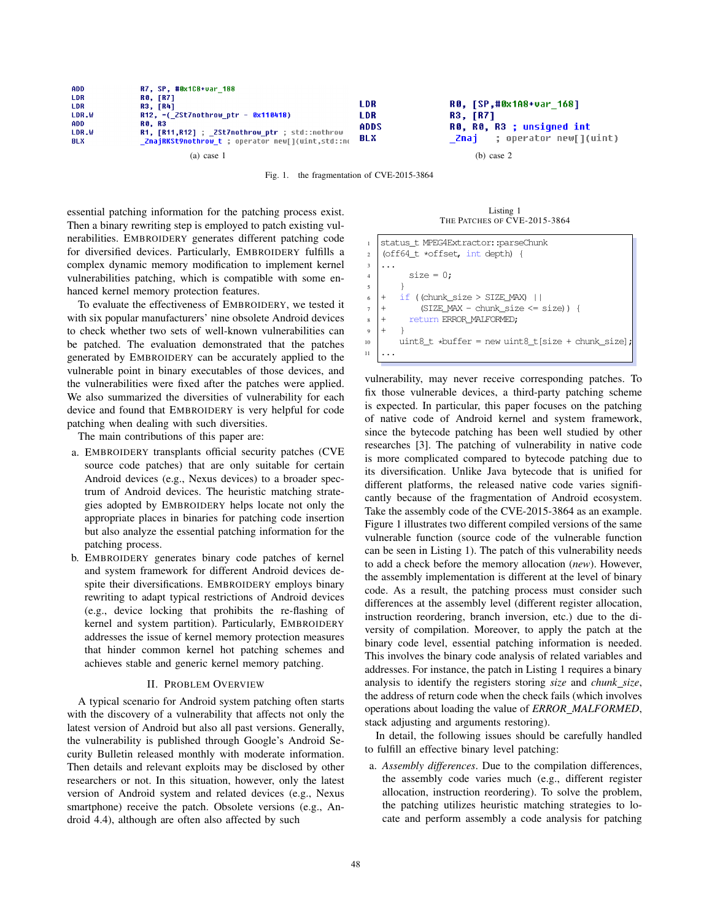| <b>ADD</b> | R7, SP, #0x1C8+var 188                           |              |                                    |  |  |  |  |  |
|------------|--------------------------------------------------|--------------|------------------------------------|--|--|--|--|--|
| <b>LDR</b> | <b>RO, [R7]</b>                                  |              |                                    |  |  |  |  |  |
| <b>LDR</b> | <b>R3, [R4]</b>                                  | LDR          | RO, [SP,#0x1A8+var 168]            |  |  |  |  |  |
| LDR.W      | R12, $=(2St7nothrow ptr - 0x110418)$             | LDR.         | <b>R3. TR71</b>                    |  |  |  |  |  |
| <b>ADD</b> | <b>RO. R3</b>                                    | ADDS         | RO, RO, R3 ; unsigned int          |  |  |  |  |  |
| LDR.W      | R1, [R11,R12] ; ZSt7nothrow ptr ; std::nothrow   |              |                                    |  |  |  |  |  |
| <b>BLX</b> | ZnajRKSt9nothrow t ; operator new[](uint,std::no | <b>BLX</b>   | <b>Znaj</b> ; operator new[](uint) |  |  |  |  |  |
|            |                                                  |              |                                    |  |  |  |  |  |
|            | $(a)$ case 1                                     | $(b)$ case 2 |                                    |  |  |  |  |  |

Fig. 1. the fragmentation of CVE-2015-3864

 $11$ 

essential patching information for the patching process exist. Then a binary rewriting step is employed to patch existing vulnerabilities. EMBROIDERY generates different patching code for diversified devices. Particularly, EMBROIDERY fulfills a complex dynamic memory modification to implement kernel vulnerabilities patching, which is compatible with some enhanced kernel memory protection features.

To evaluate the effectiveness of EMBROIDERY, we tested it with six popular manufacturers' nine obsolete Android devices to check whether two sets of well-known vulnerabilities can be patched. The evaluation demonstrated that the patches generated by EMBROIDERY can be accurately applied to the vulnerable point in binary executables of those devices, and the vulnerabilities were fixed after the patches were applied. We also summarized the diversities of vulnerability for each device and found that EMBROIDERY is very helpful for code patching when dealing with such diversities.

The main contributions of this paper are:

- a. EMBROIDERY transplants official security patches (CVE source code patches) that are only suitable for certain Android devices (e.g., Nexus devices) to a broader spectrum of Android devices. The heuristic matching strategies adopted by EMBROIDERY helps locate not only the appropriate places in binaries for patching code insertion but also analyze the essential patching information for the patching process.
- b. EMBROIDERY generates binary code patches of kernel and system framework for different Android devices despite their diversifications. EMBROIDERY employs binary rewriting to adapt typical restrictions of Android devices (e.g., device locking that prohibits the re-flashing of kernel and system partition). Particularly, EMBROIDERY addresses the issue of kernel memory protection measures that hinder common kernel hot patching schemes and achieves stable and generic kernel memory patching.

## II. PROBLEM OVERVIEW

A typical scenario for Android system patching often starts with the discovery of a vulnerability that affects not only the latest version of Android but also all past versions. Generally, the vulnerability is published through Google's Android Security Bulletin released monthly with moderate information. Then details and relevant exploits may be disclosed by other researchers or not. In this situation, however, only the latest version of Android system and related devices (e.g., Nexus smartphone) receive the patch. Obsolete versions (e.g., Android 4.4), although are often also affected by such

Listing 1 THE PATCHES OF CVE-2015-3864

```
1 | status_t MPEG4Extractor: : parseChunk
2 (off64_t *offset, int depth) {
3 \mid \ldots4 size = 0;5 }
6 \mid + \quad \text{if} \; (\text{chunk size} > \text{SIZE MAX}) \mid)7 + (SIZE_MAX - chunk_size <= size)) {
8 + return ERROR_MALFORMED;
 9 + }
\begin{array}{c} 9 \mid + \mid \\ 10 \mid \mid \text{uint8_t +} \text{buffer} = \text{new unit8_t[size + chunk_size]} \end{array}
```
vulnerability, may never receive corresponding patches. To fix those vulnerable devices, a third-party patching scheme is expected. In particular, this paper focuses on the patching of native code of Android kernel and system framework, since the bytecode patching has been well studied by other researches [3]. The patching of vulnerability in native code is more complicated compared to bytecode patching due to its diversification. Unlike Java bytecode that is unified for different platforms, the released native code varies significantly because of the fragmentation of Android ecosystem. Take the assembly code of the CVE-2015-3864 as an example. Figure 1 illustrates two different compiled versions of the same vulnerable function (source code of the vulnerable function can be seen in Listing 1). The patch of this vulnerability needs to add a check before the memory allocation (*new*). However, the assembly implementation is different at the level of binary code. As a result, the patching process must consider such differences at the assembly level (different register allocation, instruction reordering, branch inversion, etc.) due to the diversity of compilation. Moreover, to apply the patch at the binary code level, essential patching information is needed. This involves the binary code analysis of related variables and addresses. For instance, the patch in Listing 1 requires a binary analysis to identify the registers storing *size* and *chunk size*, the address of return code when the check fails (which involves operations about loading the value of *ERROR MALFORMED*, stack adjusting and arguments restoring).

In detail, the following issues should be carefully handled to fulfill an effective binary level patching:

a. *Assembly differences*. Due to the compilation differences, the assembly code varies much (e.g., different register allocation, instruction reordering). To solve the problem, the patching utilizes heuristic matching strategies to locate and perform assembly a code analysis for patching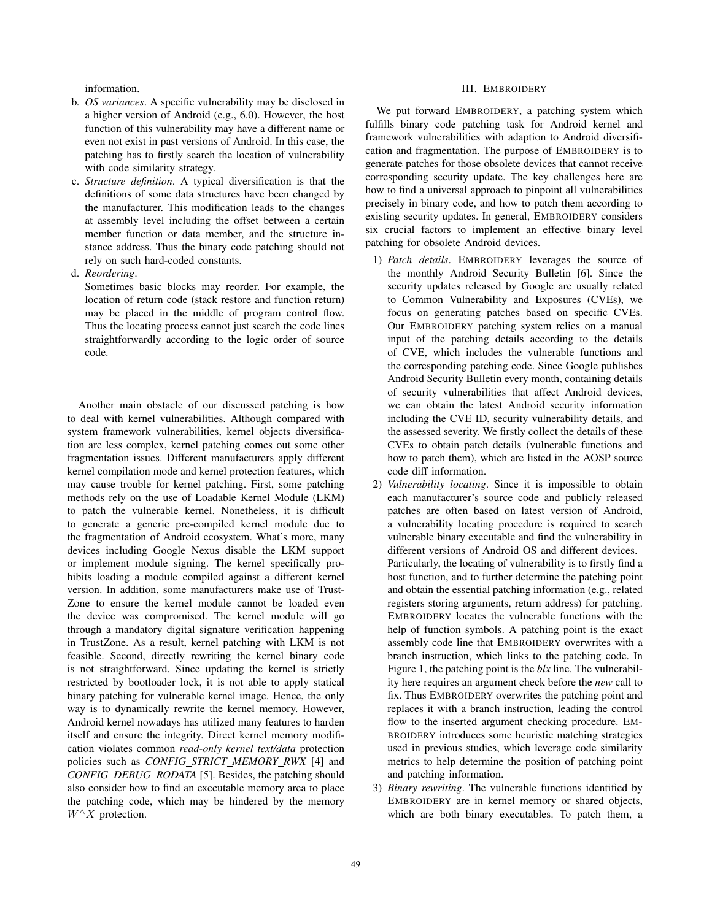information.

- b. *OS variances*. A specific vulnerability may be disclosed in a higher version of Android (e.g., 6.0). However, the host function of this vulnerability may have a different name or even not exist in past versions of Android. In this case, the patching has to firstly search the location of vulnerability with code similarity strategy.
- c. *Structure definition*. A typical diversification is that the definitions of some data structures have been changed by the manufacturer. This modification leads to the changes at assembly level including the offset between a certain member function or data member, and the structure instance address. Thus the binary code patching should not rely on such hard-coded constants.
- d. *Reordering*.

Sometimes basic blocks may reorder. For example, the location of return code (stack restore and function return) may be placed in the middle of program control flow. Thus the locating process cannot just search the code lines straightforwardly according to the logic order of source code.

Another main obstacle of our discussed patching is how to deal with kernel vulnerabilities. Although compared with system framework vulnerabilities, kernel objects diversification are less complex, kernel patching comes out some other fragmentation issues. Different manufacturers apply different kernel compilation mode and kernel protection features, which may cause trouble for kernel patching. First, some patching methods rely on the use of Loadable Kernel Module (LKM) to patch the vulnerable kernel. Nonetheless, it is difficult to generate a generic pre-compiled kernel module due to the fragmentation of Android ecosystem. What's more, many devices including Google Nexus disable the LKM support or implement module signing. The kernel specifically prohibits loading a module compiled against a different kernel version. In addition, some manufacturers make use of Trust-Zone to ensure the kernel module cannot be loaded even the device was compromised. The kernel module will go through a mandatory digital signature verification happening in TrustZone. As a result, kernel patching with LKM is not feasible. Second, directly rewriting the kernel binary code is not straightforward. Since updating the kernel is strictly restricted by bootloader lock, it is not able to apply statical binary patching for vulnerable kernel image. Hence, the only way is to dynamically rewrite the kernel memory. However, Android kernel nowadays has utilized many features to harden itself and ensure the integrity. Direct kernel memory modification violates common *read-only kernel text/data* protection policies such as *CONFIG STRICT MEMORY RWX* [4] and *CONFIG DEBUG RODATA* [5]. Besides, the patching should also consider how to find an executable memory area to place the patching code, which may be hindered by the memory  $W^{\wedge}X$  protection.

## III. EMBROIDERY

We put forward EMBROIDERY, a patching system which fulfills binary code patching task for Android kernel and framework vulnerabilities with adaption to Android diversification and fragmentation. The purpose of EMBROIDERY is to generate patches for those obsolete devices that cannot receive corresponding security update. The key challenges here are how to find a universal approach to pinpoint all vulnerabilities precisely in binary code, and how to patch them according to existing security updates. In general, EMBROIDERY considers six crucial factors to implement an effective binary level patching for obsolete Android devices.

- 1) *Patch details*. EMBROIDERY leverages the source of the monthly Android Security Bulletin [6]. Since the security updates released by Google are usually related to Common Vulnerability and Exposures (CVEs), we focus on generating patches based on specific CVEs. Our EMBROIDERY patching system relies on a manual input of the patching details according to the details of CVE, which includes the vulnerable functions and the corresponding patching code. Since Google publishes Android Security Bulletin every month, containing details of security vulnerabilities that affect Android devices, we can obtain the latest Android security information including the CVE ID, security vulnerability details, and the assessed severity. We firstly collect the details of these CVEs to obtain patch details (vulnerable functions and how to patch them), which are listed in the AOSP source code diff information.
- 2) *Vulnerability locating*. Since it is impossible to obtain each manufacturer's source code and publicly released patches are often based on latest version of Android, a vulnerability locating procedure is required to search vulnerable binary executable and find the vulnerability in different versions of Android OS and different devices. Particularly, the locating of vulnerability is to firstly find a host function, and to further determine the patching point and obtain the essential patching information (e.g., related registers storing arguments, return address) for patching. EMBROIDERY locates the vulnerable functions with the help of function symbols. A patching point is the exact assembly code line that EMBROIDERY overwrites with a branch instruction, which links to the patching code. In Figure 1, the patching point is the *blx* line. The vulnerability here requires an argument check before the *new* call to fix. Thus EMBROIDERY overwrites the patching point and replaces it with a branch instruction, leading the control flow to the inserted argument checking procedure. EM-BROIDERY introduces some heuristic matching strategies used in previous studies, which leverage code similarity metrics to help determine the position of patching point and patching information.
- 3) *Binary rewriting*. The vulnerable functions identified by EMBROIDERY are in kernel memory or shared objects, which are both binary executables. To patch them, a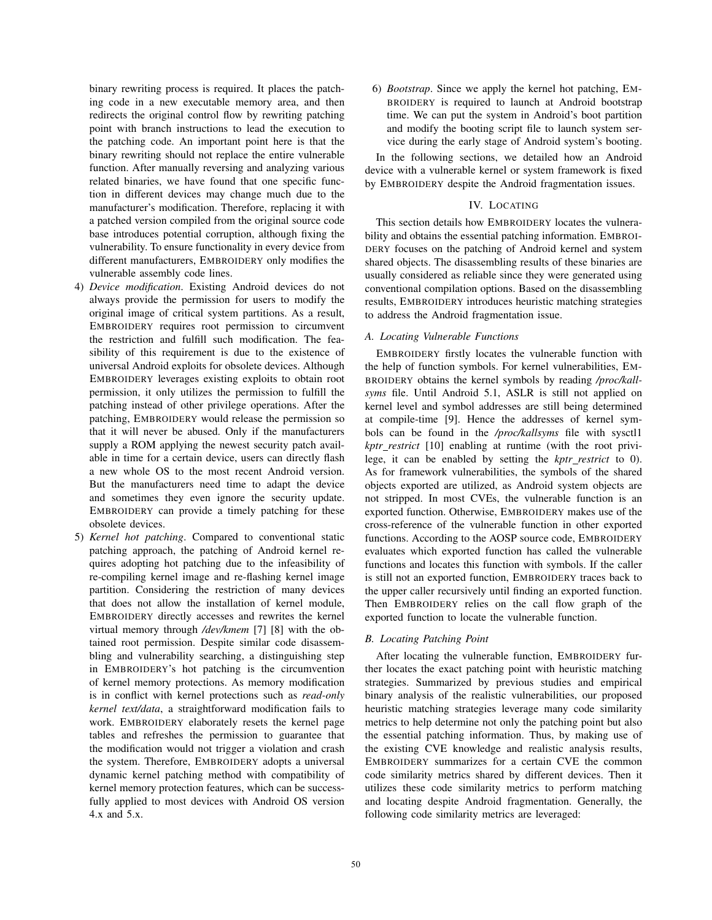binary rewriting process is required. It places the patching code in a new executable memory area, and then redirects the original control flow by rewriting patching point with branch instructions to lead the execution to the patching code. An important point here is that the binary rewriting should not replace the entire vulnerable function. After manually reversing and analyzing various related binaries, we have found that one specific function in different devices may change much due to the manufacturer's modification. Therefore, replacing it with a patched version compiled from the original source code base introduces potential corruption, although fixing the vulnerability. To ensure functionality in every device from different manufacturers, EMBROIDERY only modifies the vulnerable assembly code lines.

- 4) *Device modification*. Existing Android devices do not always provide the permission for users to modify the original image of critical system partitions. As a result, EMBROIDERY requires root permission to circumvent the restriction and fulfill such modification. The feasibility of this requirement is due to the existence of universal Android exploits for obsolete devices. Although EMBROIDERY leverages existing exploits to obtain root permission, it only utilizes the permission to fulfill the patching instead of other privilege operations. After the patching, EMBROIDERY would release the permission so that it will never be abused. Only if the manufacturers supply a ROM applying the newest security patch available in time for a certain device, users can directly flash a new whole OS to the most recent Android version. But the manufacturers need time to adapt the device and sometimes they even ignore the security update. EMBROIDERY can provide a timely patching for these obsolete devices.
- 5) *Kernel hot patching*. Compared to conventional static patching approach, the patching of Android kernel requires adopting hot patching due to the infeasibility of re-compiling kernel image and re-flashing kernel image partition. Considering the restriction of many devices that does not allow the installation of kernel module, EMBROIDERY directly accesses and rewrites the kernel virtual memory through */dev/kmem* [7] [8] with the obtained root permission. Despite similar code disassembling and vulnerability searching, a distinguishing step in EMBROIDERY's hot patching is the circumvention of kernel memory protections. As memory modification is in conflict with kernel protections such as *read-only kernel text/data*, a straightforward modification fails to work. EMBROIDERY elaborately resets the kernel page tables and refreshes the permission to guarantee that the modification would not trigger a violation and crash the system. Therefore, EMBROIDERY adopts a universal dynamic kernel patching method with compatibility of kernel memory protection features, which can be successfully applied to most devices with Android OS version 4.x and 5.x.

6) *Bootstrap*. Since we apply the kernel hot patching, EM-BROIDERY is required to launch at Android bootstrap time. We can put the system in Android's boot partition and modify the booting script file to launch system service during the early stage of Android system's booting.

In the following sections, we detailed how an Android device with a vulnerable kernel or system framework is fixed by EMBROIDERY despite the Android fragmentation issues.

# IV. LOCATING

This section details how EMBROIDERY locates the vulnerability and obtains the essential patching information. EMBROI-DERY focuses on the patching of Android kernel and system shared objects. The disassembling results of these binaries are usually considered as reliable since they were generated using conventional compilation options. Based on the disassembling results, EMBROIDERY introduces heuristic matching strategies to address the Android fragmentation issue.

## *A. Locating Vulnerable Functions*

EMBROIDERY firstly locates the vulnerable function with the help of function symbols. For kernel vulnerabilities, EM-BROIDERY obtains the kernel symbols by reading */proc/kallsyms* file. Until Android 5.1, ASLR is still not applied on kernel level and symbol addresses are still being determined at compile-time [9]. Hence the addresses of kernel symbols can be found in the */proc/kallsyms* file with sysctl1 *kptr restrict* [10] enabling at runtime (with the root privilege, it can be enabled by setting the *kptr restrict* to 0). As for framework vulnerabilities, the symbols of the shared objects exported are utilized, as Android system objects are not stripped. In most CVEs, the vulnerable function is an exported function. Otherwise, EMBROIDERY makes use of the cross-reference of the vulnerable function in other exported functions. According to the AOSP source code, EMBROIDERY evaluates which exported function has called the vulnerable functions and locates this function with symbols. If the caller is still not an exported function, EMBROIDERY traces back to the upper caller recursively until finding an exported function. Then EMBROIDERY relies on the call flow graph of the exported function to locate the vulnerable function.

## *B. Locating Patching Point*

After locating the vulnerable function, EMBROIDERY further locates the exact patching point with heuristic matching strategies. Summarized by previous studies and empirical binary analysis of the realistic vulnerabilities, our proposed heuristic matching strategies leverage many code similarity metrics to help determine not only the patching point but also the essential patching information. Thus, by making use of the existing CVE knowledge and realistic analysis results, EMBROIDERY summarizes for a certain CVE the common code similarity metrics shared by different devices. Then it utilizes these code similarity metrics to perform matching and locating despite Android fragmentation. Generally, the following code similarity metrics are leveraged: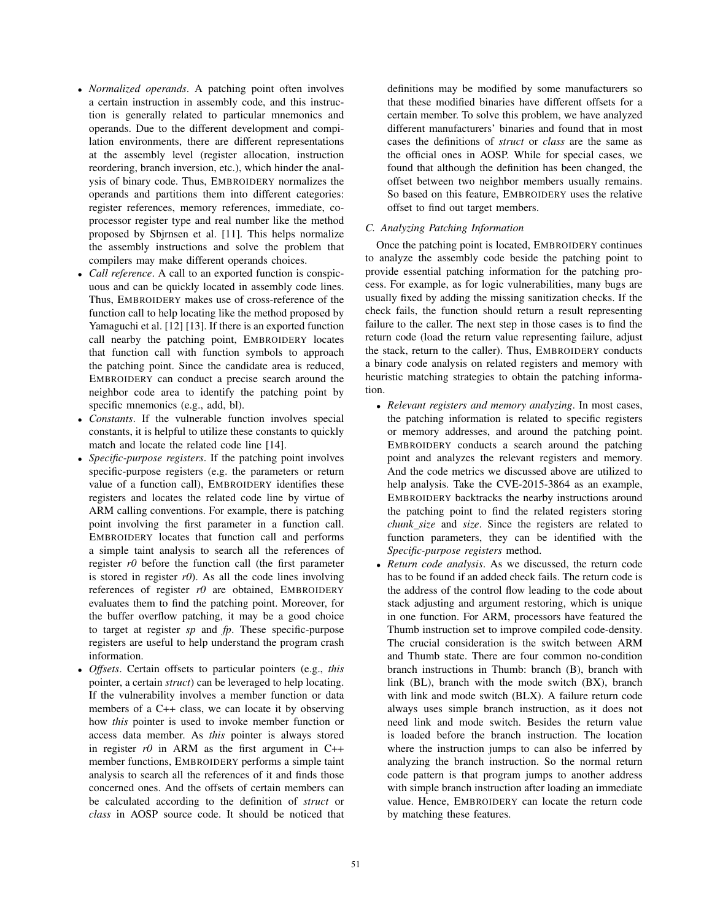- *Normalized operands*. A patching point often involves a certain instruction in assembly code, and this instruction is generally related to particular mnemonics and operands. Due to the different development and compilation environments, there are different representations at the assembly level (register allocation, instruction reordering, branch inversion, etc.), which hinder the analysis of binary code. Thus, EMBROIDERY normalizes the operands and partitions them into different categories: register references, memory references, immediate, coprocessor register type and real number like the method proposed by Sbjrnsen et al. [11]. This helps normalize the assembly instructions and solve the problem that compilers may make different operands choices.
- *Call reference*. A call to an exported function is conspicuous and can be quickly located in assembly code lines. Thus, EMBROIDERY makes use of cross-reference of the function call to help locating like the method proposed by Yamaguchi et al. [12] [13]. If there is an exported function call nearby the patching point, EMBROIDERY locates that function call with function symbols to approach the patching point. Since the candidate area is reduced, EMBROIDERY can conduct a precise search around the neighbor code area to identify the patching point by specific mnemonics (e.g., add, bl).
- *Constants*. If the vulnerable function involves special constants, it is helpful to utilize these constants to quickly match and locate the related code line [14].
- *Specific-purpose registers*. If the patching point involves specific-purpose registers (e.g. the parameters or return value of a function call), EMBROIDERY identifies these registers and locates the related code line by virtue of ARM calling conventions. For example, there is patching point involving the first parameter in a function call. EMBROIDERY locates that function call and performs a simple taint analysis to search all the references of register *r0* before the function call (the first parameter is stored in register  $r0$ ). As all the code lines involving references of register *r0* are obtained, EMBROIDERY evaluates them to find the patching point. Moreover, for the buffer overflow patching, it may be a good choice to target at register *sp* and *fp*. These specific-purpose registers are useful to help understand the program crash information.
- *Offsets*. Certain offsets to particular pointers (e.g., *this* pointer, a certain *struct*) can be leveraged to help locating. If the vulnerability involves a member function or data members of a C++ class, we can locate it by observing how *this* pointer is used to invoke member function or access data member. As *this* pointer is always stored in register  $r0$  in ARM as the first argument in C++ member functions, EMBROIDERY performs a simple taint analysis to search all the references of it and finds those concerned ones. And the offsets of certain members can be calculated according to the definition of *struct* or *class* in AOSP source code. It should be noticed that

definitions may be modified by some manufacturers so that these modified binaries have different offsets for a certain member. To solve this problem, we have analyzed different manufacturers' binaries and found that in most cases the definitions of *struct* or *class* are the same as the official ones in AOSP. While for special cases, we found that although the definition has been changed, the offset between two neighbor members usually remains. So based on this feature, EMBROIDERY uses the relative offset to find out target members.

# *C. Analyzing Patching Information*

Once the patching point is located, EMBROIDERY continues to analyze the assembly code beside the patching point to provide essential patching information for the patching process. For example, as for logic vulnerabilities, many bugs are usually fixed by adding the missing sanitization checks. If the check fails, the function should return a result representing failure to the caller. The next step in those cases is to find the return code (load the return value representing failure, adjust the stack, return to the caller). Thus, EMBROIDERY conducts a binary code analysis on related registers and memory with heuristic matching strategies to obtain the patching information.

- *Relevant registers and memory analyzing*. In most cases, the patching information is related to specific registers or memory addresses, and around the patching point. EMBROIDERY conducts a search around the patching point and analyzes the relevant registers and memory. And the code metrics we discussed above are utilized to help analysis. Take the CVE-2015-3864 as an example, EMBROIDERY backtracks the nearby instructions around the patching point to find the related registers storing *chunk size* and *size*. Since the registers are related to function parameters, they can be identified with the *Specific-purpose registers* method.
- *Return code analysis*. As we discussed, the return code has to be found if an added check fails. The return code is the address of the control flow leading to the code about stack adjusting and argument restoring, which is unique in one function. For ARM, processors have featured the Thumb instruction set to improve compiled code-density. The crucial consideration is the switch between ARM and Thumb state. There are four common no-condition branch instructions in Thumb: branch (B), branch with link (BL), branch with the mode switch (BX), branch with link and mode switch (BLX). A failure return code always uses simple branch instruction, as it does not need link and mode switch. Besides the return value is loaded before the branch instruction. The location where the instruction jumps to can also be inferred by analyzing the branch instruction. So the normal return code pattern is that program jumps to another address with simple branch instruction after loading an immediate value. Hence, EMBROIDERY can locate the return code by matching these features.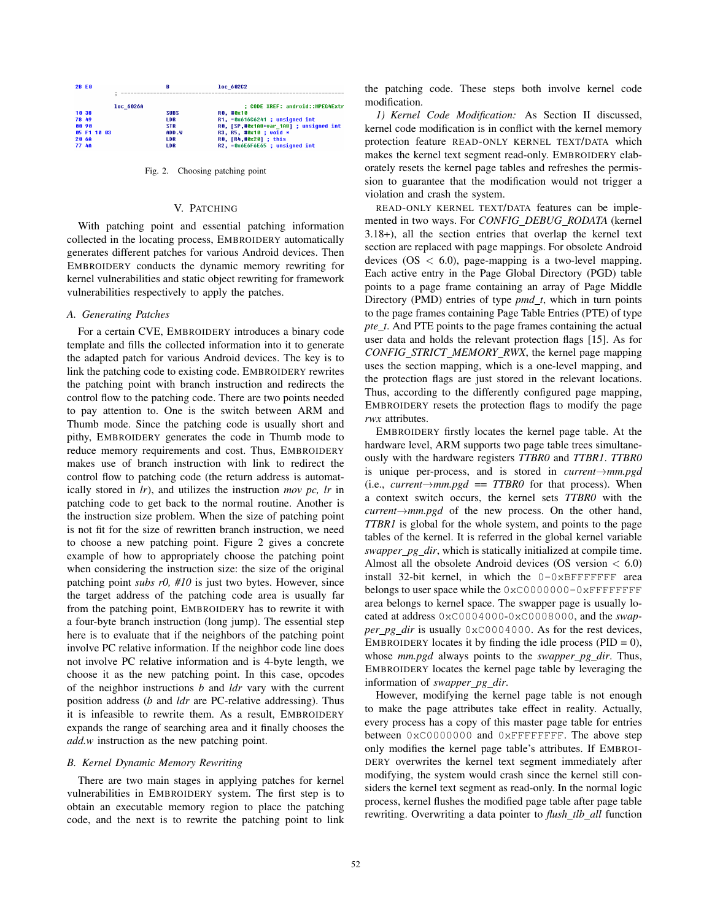

Fig. 2. Choosing patching point

#### V. PATCHING

With patching point and essential patching information collected in the locating process, EMBROIDERY automatically generates different patches for various Android devices. Then EMBROIDERY conducts the dynamic memory rewriting for kernel vulnerabilities and static object rewriting for framework vulnerabilities respectively to apply the patches.

## *A. Generating Patches*

For a certain CVE, EMBROIDERY introduces a binary code template and fills the collected information into it to generate the adapted patch for various Android devices. The key is to link the patching code to existing code. EMBROIDERY rewrites the patching point with branch instruction and redirects the control flow to the patching code. There are two points needed to pay attention to. One is the switch between ARM and Thumb mode. Since the patching code is usually short and pithy, EMBROIDERY generates the code in Thumb mode to reduce memory requirements and cost. Thus, EMBROIDERY makes use of branch instruction with link to redirect the control flow to patching code (the return address is automatically stored in *lr*), and utilizes the instruction *mov pc, lr* in patching code to get back to the normal routine. Another is the instruction size problem. When the size of patching point is not fit for the size of rewritten branch instruction, we need to choose a new patching point. Figure 2 gives a concrete example of how to appropriately choose the patching point when considering the instruction size: the size of the original patching point *subs r0, #10* is just two bytes. However, since the target address of the patching code area is usually far from the patching point, EMBROIDERY has to rewrite it with a four-byte branch instruction (long jump). The essential step here is to evaluate that if the neighbors of the patching point involve PC relative information. If the neighbor code line does not involve PC relative information and is 4-byte length, we choose it as the new patching point. In this case, opcodes of the neighbor instructions *b* and *ldr* vary with the current position address (*b* and *ldr* are PC-relative addressing). Thus it is infeasible to rewrite them. As a result, EMBROIDERY expands the range of searching area and it finally chooses the *add.w* instruction as the new patching point.

#### *B. Kernel Dynamic Memory Rewriting*

There are two main stages in applying patches for kernel vulnerabilities in EMBROIDERY system. The first step is to obtain an executable memory region to place the patching code, and the next is to rewrite the patching point to link the patching code. These steps both involve kernel code modification.

*1) Kernel Code Modification:* As Section II discussed, kernel code modification is in conflict with the kernel memory protection feature READ-ONLY KERNEL TEXT/DATA which makes the kernel text segment read-only. EMBROIDERY elaborately resets the kernel page tables and refreshes the permission to guarantee that the modification would not trigger a violation and crash the system.

READ-ONLY KERNEL TEXT/DATA features can be implemented in two ways. For *CONFIG DEBUG RODATA* (kernel 3.18+), all the section entries that overlap the kernel text section are replaced with page mappings. For obsolete Android devices  $(OS < 6.0)$ , page-mapping is a two-level mapping. Each active entry in the Page Global Directory (PGD) table points to a page frame containing an array of Page Middle Directory (PMD) entries of type *pmd\_t*, which in turn points to the page frames containing Page Table Entries (PTE) of type *pte t*. And PTE points to the page frames containing the actual user data and holds the relevant protection flags [15]. As for *CONFIG STRICT MEMORY RWX*, the kernel page mapping uses the section mapping, which is a one-level mapping, and the protection flags are just stored in the relevant locations. Thus, according to the differently configured page mapping, EMBROIDERY resets the protection flags to modify the page *rwx* attributes.

EMBROIDERY firstly locates the kernel page table. At the hardware level, ARM supports two page table trees simultaneously with the hardware registers *TTBR0* and *TTBR1*. *TTBR0* is unique per-process, and is stored in *current*→*mm.pgd*  $(i.e., current \rightarrow mm, pgd == TTBR0$  for that process). When a context switch occurs, the kernel sets *TTBR0* with the *current*→*mm.pgd* of the new process. On the other hand, *TTBR1* is global for the whole system, and points to the page tables of the kernel. It is referred in the global kernel variable *swapper\_pg\_dir*, which is statically initialized at compile time. Almost all the obsolete Android devices  $(OS$  version  $\lt 6.0$ ) install 32-bit kernel, in which the  $0-0x$ BFFFFFFFF area belongs to user space while the  $0 \times C0000000-0 \times$ FFFFFFFFF area belongs to kernel space. The swapper page is usually located at address 0xC0004000-0xC0008000, and the *swapper\_pg\_dir* is usually 0xC0004000. As for the rest devices, EMBROIDERY locates it by finding the idle process ( $PID = 0$ ), whose *mm.pgd* always points to the *swapper pg dir*. Thus, EMBROIDERY locates the kernel page table by leveraging the information of *swapper pg dir*.

However, modifying the kernel page table is not enough to make the page attributes take effect in reality. Actually, every process has a copy of this master page table for entries between 0xC0000000 and 0xFFFFFFFF. The above step only modifies the kernel page table's attributes. If EMBROI-DERY overwrites the kernel text segment immediately after modifying, the system would crash since the kernel still considers the kernel text segment as read-only. In the normal logic process, kernel flushes the modified page table after page table rewriting. Overwriting a data pointer to *flush tlb all* function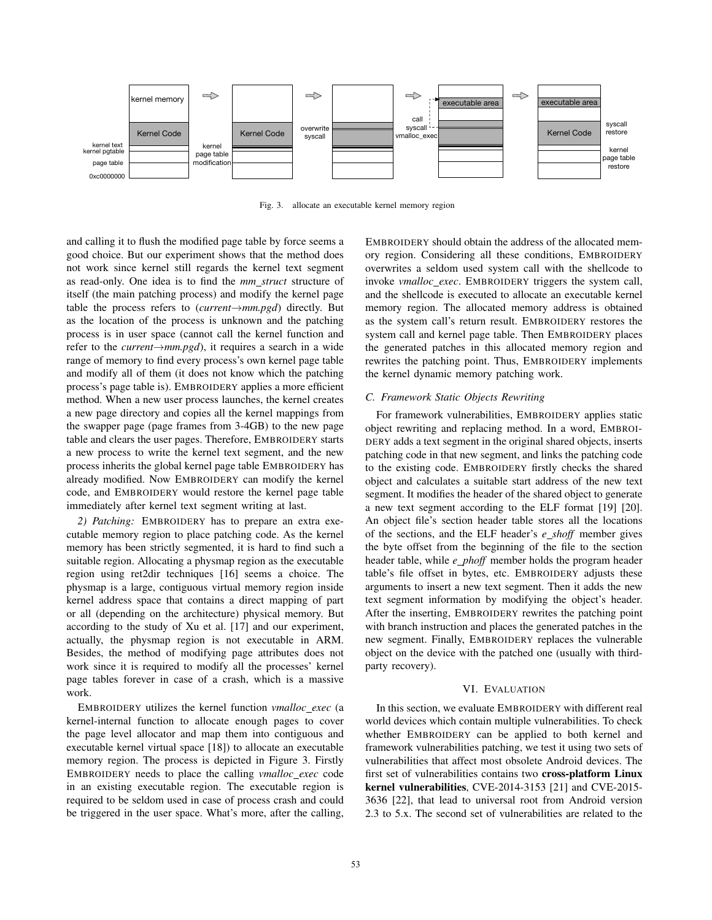

Fig. 3. allocate an executable kernel memory region

and calling it to flush the modified page table by force seems a good choice. But our experiment shows that the method does not work since kernel still regards the kernel text segment as read-only. One idea is to find the *mm struct* structure of itself (the main patching process) and modify the kernel page table the process refers to (*current*→*mm.pgd*) directly. But as the location of the process is unknown and the patching process is in user space (cannot call the kernel function and refer to the *current*→*mm.pgd*), it requires a search in a wide range of memory to find every process's own kernel page table and modify all of them (it does not know which the patching process's page table is). EMBROIDERY applies a more efficient method. When a new user process launches, the kernel creates a new page directory and copies all the kernel mappings from the swapper page (page frames from 3-4GB) to the new page table and clears the user pages. Therefore, EMBROIDERY starts a new process to write the kernel text segment, and the new process inherits the global kernel page table EMBROIDERY has already modified. Now EMBROIDERY can modify the kernel code, and EMBROIDERY would restore the kernel page table immediately after kernel text segment writing at last.

*2) Patching:* EMBROIDERY has to prepare an extra executable memory region to place patching code. As the kernel memory has been strictly segmented, it is hard to find such a suitable region. Allocating a physmap region as the executable region using ret2dir techniques [16] seems a choice. The physmap is a large, contiguous virtual memory region inside kernel address space that contains a direct mapping of part or all (depending on the architecture) physical memory. But according to the study of Xu et al. [17] and our experiment, actually, the physmap region is not executable in ARM. Besides, the method of modifying page attributes does not work since it is required to modify all the processes' kernel page tables forever in case of a crash, which is a massive work.

EMBROIDERY utilizes the kernel function *vmalloc exec* (a kernel-internal function to allocate enough pages to cover the page level allocator and map them into contiguous and executable kernel virtual space [18]) to allocate an executable memory region. The process is depicted in Figure 3. Firstly EMBROIDERY needs to place the calling *vmalloc exec* code in an existing executable region. The executable region is required to be seldom used in case of process crash and could be triggered in the user space. What's more, after the calling,

EMBROIDERY should obtain the address of the allocated memory region. Considering all these conditions, EMBROIDERY overwrites a seldom used system call with the shellcode to invoke *vmalloc exec*. EMBROIDERY triggers the system call, and the shellcode is executed to allocate an executable kernel memory region. The allocated memory address is obtained as the system call's return result. EMBROIDERY restores the system call and kernel page table. Then EMBROIDERY places the generated patches in this allocated memory region and rewrites the patching point. Thus, EMBROIDERY implements the kernel dynamic memory patching work.

#### *C. Framework Static Objects Rewriting*

For framework vulnerabilities, EMBROIDERY applies static object rewriting and replacing method. In a word, EMBROI-DERY adds a text segment in the original shared objects, inserts patching code in that new segment, and links the patching code to the existing code. EMBROIDERY firstly checks the shared object and calculates a suitable start address of the new text segment. It modifies the header of the shared object to generate a new text segment according to the ELF format [19] [20]. An object file's section header table stores all the locations of the sections, and the ELF header's *e shoff* member gives the byte offset from the beginning of the file to the section header table, while *e phoff* member holds the program header table's file offset in bytes, etc. EMBROIDERY adjusts these arguments to insert a new text segment. Then it adds the new text segment information by modifying the object's header. After the inserting, EMBROIDERY rewrites the patching point with branch instruction and places the generated patches in the new segment. Finally, EMBROIDERY replaces the vulnerable object on the device with the patched one (usually with thirdparty recovery).

## VI. EVALUATION

In this section, we evaluate EMBROIDERY with different real world devices which contain multiple vulnerabilities. To check whether EMBROIDERY can be applied to both kernel and framework vulnerabilities patching, we test it using two sets of vulnerabilities that affect most obsolete Android devices. The first set of vulnerabilities contains two cross-platform Linux kernel vulnerabilities, CVE-2014-3153 [21] and CVE-2015- 3636 [22], that lead to universal root from Android version 2.3 to 5.x. The second set of vulnerabilities are related to the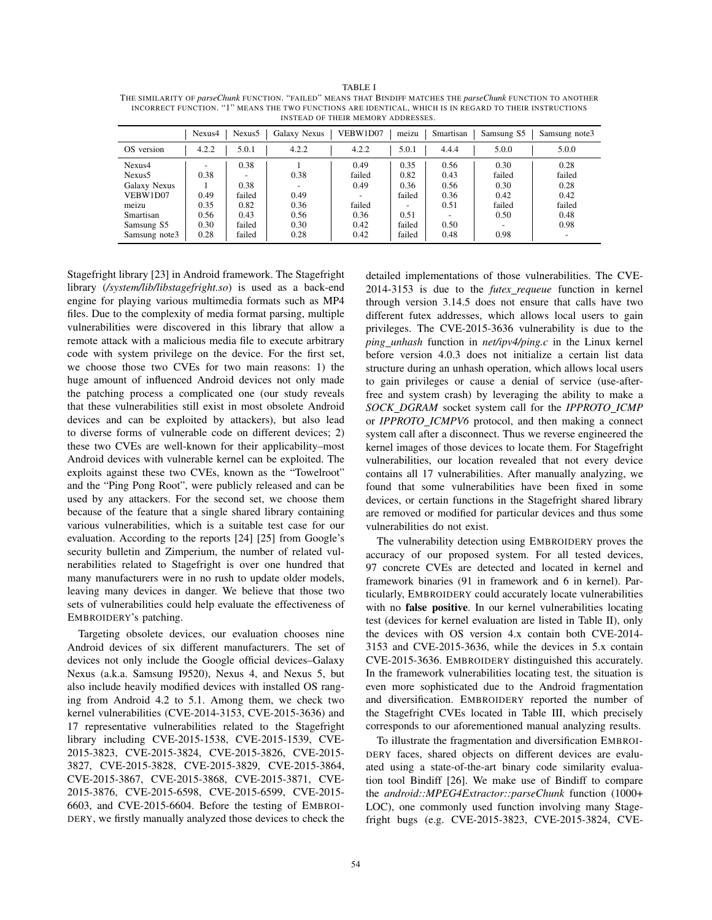TABLE I THE SIMILARITY OF *parseChunk* FUNCTION. "FAILED" MEANS THAT BINDIFF MATCHES THE *parseChunk* FUNCTION TO ANOTHER INCORRECT FUNCTION. "1" MEANS THE TWO FUNCTIONS ARE IDENTICAL, WHICH IS IN REGARD TO THEIR INSTRUCTIONS INSTEAD OF THEIR MEMORY ADDRESSES.

|                    | Nexus4 | Nexus5 | Galaxy Nexus | VEBW1D07 | meizu  | Smartisan | Samsung S5 | Samsung note3            |
|--------------------|--------|--------|--------------|----------|--------|-----------|------------|--------------------------|
| OS version         | 4.2.2  | 5.0.1  | 4.2.2        | 4.2.2    | 5.0.1  | 4.4.4     | 5.0.0      | 5.0.0                    |
| Nexus4             |        | 0.38   |              | 0.49     | 0.35   | 0.56      | 0.30       | 0.28                     |
| Nexus <sub>5</sub> | 0.38   |        | 0.38         | failed   | 0.82   | 0.43      | failed     | failed                   |
| Galaxy Nexus       |        | 0.38   |              | 0.49     | 0.36   | 0.56      | 0.30       | 0.28                     |
| VEBW1D07           | 0.49   | failed | 0.49         |          | failed | 0.36      | 0.42       | 0.42                     |
| meizu              | 0.35   | 0.82   | 0.36         | failed   |        | 0.51      | failed     | failed                   |
| Smartisan          | 0.56   | 0.43   | 0.56         | 0.36     | 0.51   |           | 0.50       | 0.48                     |
| Samsung S5         | 0.30   | failed | 0.30         | 0.42     | failed | 0.50      |            | 0.98                     |
| Samsung note3      | 0.28   | failed | 0.28         | 0.42     | failed | 0.48      | 0.98       | $\overline{\phantom{0}}$ |

Stagefright library [23] in Android framework. The Stagefright library (*/system/lib/libstagefright.so*) is used as a back-end engine for playing various multimedia formats such as MP4 files. Due to the complexity of media format parsing, multiple vulnerabilities were discovered in this library that allow a remote attack with a malicious media file to execute arbitrary code with system privilege on the device. For the first set, we choose those two CVEs for two main reasons: 1) the huge amount of influenced Android devices not only made the patching process a complicated one (our study reveals that these vulnerabilities still exist in most obsolete Android devices and can be exploited by attackers), but also lead to diverse forms of vulnerable code on different devices; 2) these two CVEs are well-known for their applicability–most Android devices with vulnerable kernel can be exploited. The exploits against these two CVEs, known as the "Towelroot" and the "Ping Pong Root", were publicly released and can be used by any attackers. For the second set, we choose them because of the feature that a single shared library containing various vulnerabilities, which is a suitable test case for our evaluation. According to the reports [24] [25] from Google's security bulletin and Zimperium, the number of related vulnerabilities related to Stagefright is over one hundred that many manufacturers were in no rush to update older models, leaving many devices in danger. We believe that those two sets of vulnerabilities could help evaluate the effectiveness of EMBROIDERY's patching.

Targeting obsolete devices, our evaluation chooses nine Android devices of six different manufacturers. The set of devices not only include the Google official devices–Galaxy Nexus (a.k.a. Samsung I9520), Nexus 4, and Nexus 5, but also include heavily modified devices with installed OS ranging from Android 4.2 to 5.1. Among them, we check two kernel vulnerabilities (CVE-2014-3153, CVE-2015-3636) and 17 representative vulnerabilities related to the Stagefright library including CVE-2015-1538, CVE-2015-1539, CVE-2015-3823, CVE-2015-3824, CVE-2015-3826, CVE-2015- 3827, CVE-2015-3828, CVE-2015-3829, CVE-2015-3864, CVE-2015-3867, CVE-2015-3868, CVE-2015-3871, CVE-2015-3876, CVE-2015-6598, CVE-2015-6599, CVE-2015- 6603, and CVE-2015-6604. Before the testing of EMBROI-DERY, we firstly manually analyzed those devices to check the

detailed implementations of those vulnerabilities. The CVE-2014-3153 is due to the *futex requeue* function in kernel through version 3.14.5 does not ensure that calls have two different futex addresses, which allows local users to gain privileges. The CVE-2015-3636 vulnerability is due to the *ping unhash* function in *net/ipv4/ping.c* in the Linux kernel before version 4.0.3 does not initialize a certain list data structure during an unhash operation, which allows local users to gain privileges or cause a denial of service (use-afterfree and system crash) by leveraging the ability to make a *SOCK DGRAM* socket system call for the *IPPROTO ICMP* or *IPPROTO ICMPV6* protocol, and then making a connect system call after a disconnect. Thus we reverse engineered the kernel images of those devices to locate them. For Stagefright vulnerabilities, our location revealed that not every device contains all 17 vulnerabilities. After manually analyzing, we found that some vulnerabilities have been fixed in some devices, or certain functions in the Stagefright shared library are removed or modified for particular devices and thus some vulnerabilities do not exist.

The vulnerability detection using EMBROIDERY proves the accuracy of our proposed system. For all tested devices, 97 concrete CVEs are detected and located in kernel and framework binaries (91 in framework and 6 in kernel). Particularly, EMBROIDERY could accurately locate vulnerabilities with no false positive. In our kernel vulnerabilities locating test (devices for kernel evaluation are listed in Table II), only the devices with OS version 4.x contain both CVE-2014- 3153 and CVE-2015-3636, while the devices in 5.x contain CVE-2015-3636. EMBROIDERY distinguished this accurately. In the framework vulnerabilities locating test, the situation is even more sophisticated due to the Android fragmentation and diversification. EMBROIDERY reported the number of the Stagefright CVEs located in Table III, which precisely corresponds to our aforementioned manual analyzing results.

To illustrate the fragmentation and diversification EMBROI-DERY faces, shared objects on different devices are evaluated using a state-of-the-art binary code similarity evaluation tool Bindiff [26]. We make use of Bindiff to compare the *android::MPEG4Extractor::parseChunk* function (1000+ LOC), one commonly used function involving many Stagefright bugs (e.g. CVE-2015-3823, CVE-2015-3824, CVE-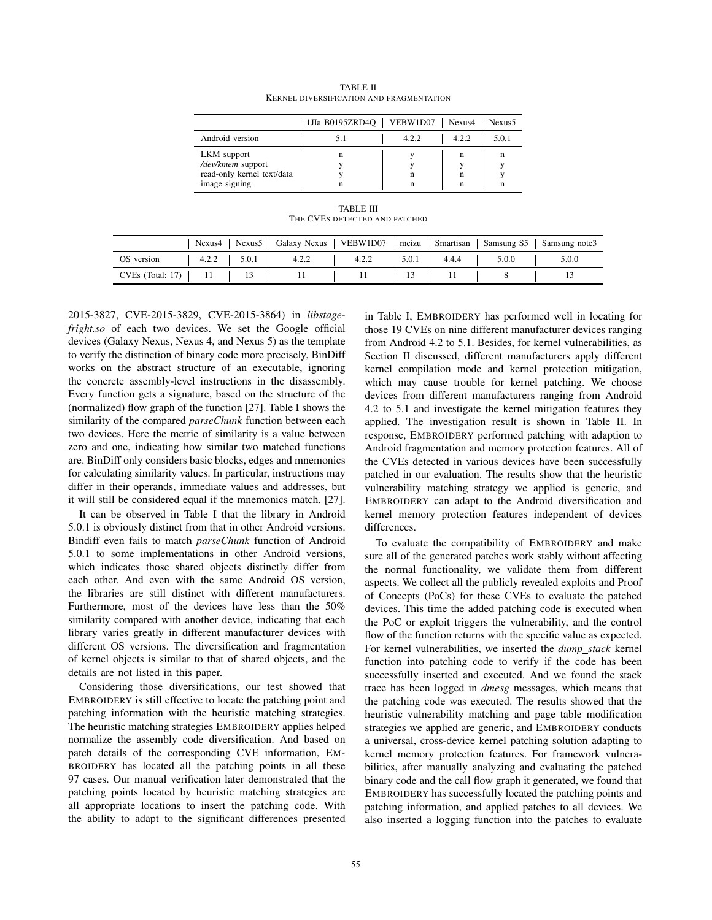|                                                                                 | 1JIa B0195ZRD4Q   VEBW1D07 | Nexus4 | Nexus <sub>5</sub> |       |  |
|---------------------------------------------------------------------------------|----------------------------|--------|--------------------|-------|--|
| Android version                                                                 |                            | 422    | 4.2.2              | 5.0.1 |  |
| LKM support<br>/dev/kmem support<br>read-only kernel text/data<br>image signing |                            | n      | n<br>n<br>n        | n     |  |

TABLE II KERNEL DIVERSIFICATION AND FRAGMENTATION

TABLE III THE CVES DETECTED AND PATCHED

|                                                |  |  | Nexus4   Nexus5   Galaxy Nexus   VEBW1D07   meizu   Smartisan   Samsung S5   Samsung note3 |  |  |  |  |       |
|------------------------------------------------|--|--|--------------------------------------------------------------------------------------------|--|--|--|--|-------|
| OS version                                     |  |  | $\vert$ 4.2.2   5.0.1   4.2.2   4.2.2   5.0.1   4.4.4   5.0.0                              |  |  |  |  | 5.0.0 |
| CVEs (Total: 17)   11   13   11   11   13   11 |  |  |                                                                                            |  |  |  |  |       |

2015-3827, CVE-2015-3829, CVE-2015-3864) in *libstagefright.so* of each two devices. We set the Google official devices (Galaxy Nexus, Nexus 4, and Nexus 5) as the template to verify the distinction of binary code more precisely, BinDiff works on the abstract structure of an executable, ignoring the concrete assembly-level instructions in the disassembly. Every function gets a signature, based on the structure of the (normalized) flow graph of the function [27]. Table I shows the similarity of the compared *parseChunk* function between each two devices. Here the metric of similarity is a value between zero and one, indicating how similar two matched functions are. BinDiff only considers basic blocks, edges and mnemonics for calculating similarity values. In particular, instructions may differ in their operands, immediate values and addresses, but it will still be considered equal if the mnemonics match. [27].

It can be observed in Table I that the library in Android 5.0.1 is obviously distinct from that in other Android versions. Bindiff even fails to match *parseChunk* function of Android 5.0.1 to some implementations in other Android versions, which indicates those shared objects distinctly differ from each other. And even with the same Android OS version, the libraries are still distinct with different manufacturers. Furthermore, most of the devices have less than the 50% similarity compared with another device, indicating that each library varies greatly in different manufacturer devices with different OS versions. The diversification and fragmentation of kernel objects is similar to that of shared objects, and the details are not listed in this paper.

Considering those diversifications, our test showed that EMBROIDERY is still effective to locate the patching point and patching information with the heuristic matching strategies. The heuristic matching strategies EMBROIDERY applies helped normalize the assembly code diversification. And based on patch details of the corresponding CVE information, EM-BROIDERY has located all the patching points in all these 97 cases. Our manual verification later demonstrated that the patching points located by heuristic matching strategies are all appropriate locations to insert the patching code. With the ability to adapt to the significant differences presented

in Table I, EMBROIDERY has performed well in locating for those 19 CVEs on nine different manufacturer devices ranging from Android 4.2 to 5.1. Besides, for kernel vulnerabilities, as Section II discussed, different manufacturers apply different kernel compilation mode and kernel protection mitigation, which may cause trouble for kernel patching. We choose devices from different manufacturers ranging from Android 4.2 to 5.1 and investigate the kernel mitigation features they applied. The investigation result is shown in Table II. In response, EMBROIDERY performed patching with adaption to Android fragmentation and memory protection features. All of the CVEs detected in various devices have been successfully patched in our evaluation. The results show that the heuristic vulnerability matching strategy we applied is generic, and EMBROIDERY can adapt to the Android diversification and kernel memory protection features independent of devices differences.

To evaluate the compatibility of EMBROIDERY and make sure all of the generated patches work stably without affecting the normal functionality, we validate them from different aspects. We collect all the publicly revealed exploits and Proof of Concepts (PoCs) for these CVEs to evaluate the patched devices. This time the added patching code is executed when the PoC or exploit triggers the vulnerability, and the control flow of the function returns with the specific value as expected. For kernel vulnerabilities, we inserted the *dump stack* kernel function into patching code to verify if the code has been successfully inserted and executed. And we found the stack trace has been logged in *dmesg* messages, which means that the patching code was executed. The results showed that the heuristic vulnerability matching and page table modification strategies we applied are generic, and EMBROIDERY conducts a universal, cross-device kernel patching solution adapting to kernel memory protection features. For framework vulnerabilities, after manually analyzing and evaluating the patched binary code and the call flow graph it generated, we found that EMBROIDERY has successfully located the patching points and patching information, and applied patches to all devices. We also inserted a logging function into the patches to evaluate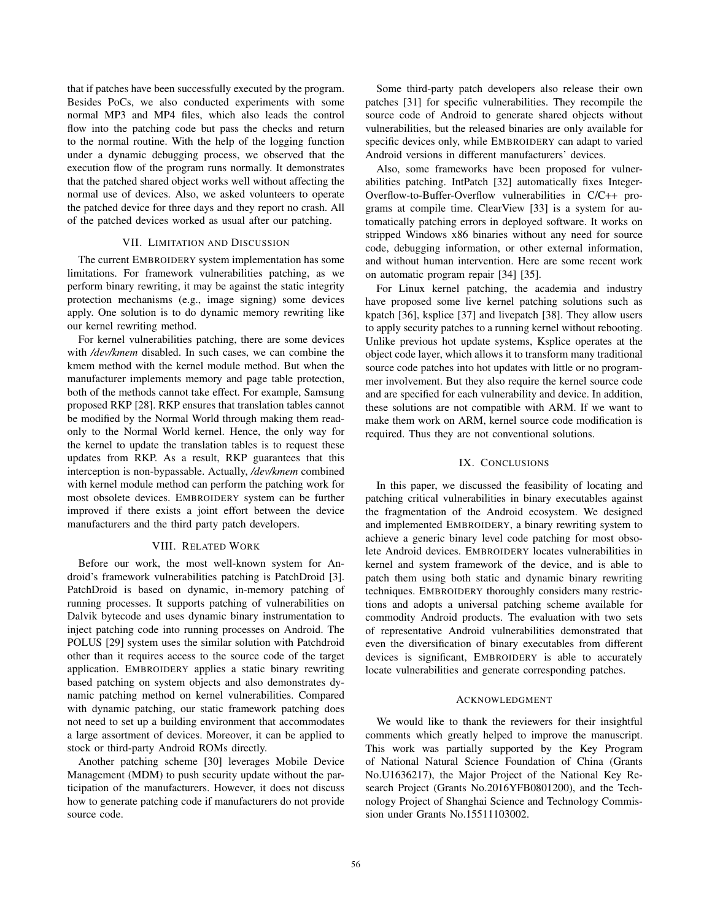that if patches have been successfully executed by the program. Besides PoCs, we also conducted experiments with some normal MP3 and MP4 files, which also leads the control flow into the patching code but pass the checks and return to the normal routine. With the help of the logging function under a dynamic debugging process, we observed that the execution flow of the program runs normally. It demonstrates that the patched shared object works well without affecting the normal use of devices. Also, we asked volunteers to operate the patched device for three days and they report no crash. All of the patched devices worked as usual after our patching.

# VII. LIMITATION AND DISCUSSION

The current EMBROIDERY system implementation has some limitations. For framework vulnerabilities patching, as we perform binary rewriting, it may be against the static integrity protection mechanisms (e.g., image signing) some devices apply. One solution is to do dynamic memory rewriting like our kernel rewriting method.

For kernel vulnerabilities patching, there are some devices with */dev/kmem* disabled. In such cases, we can combine the kmem method with the kernel module method. But when the manufacturer implements memory and page table protection, both of the methods cannot take effect. For example, Samsung proposed RKP [28]. RKP ensures that translation tables cannot be modified by the Normal World through making them readonly to the Normal World kernel. Hence, the only way for the kernel to update the translation tables is to request these updates from RKP. As a result, RKP guarantees that this interception is non-bypassable. Actually, */dev/kmem* combined with kernel module method can perform the patching work for most obsolete devices. EMBROIDERY system can be further improved if there exists a joint effort between the device manufacturers and the third party patch developers.

## VIII. RELATED WORK

Before our work, the most well-known system for Android's framework vulnerabilities patching is PatchDroid [3]. PatchDroid is based on dynamic, in-memory patching of running processes. It supports patching of vulnerabilities on Dalvik bytecode and uses dynamic binary instrumentation to inject patching code into running processes on Android. The POLUS [29] system uses the similar solution with Patchdroid other than it requires access to the source code of the target application. EMBROIDERY applies a static binary rewriting based patching on system objects and also demonstrates dynamic patching method on kernel vulnerabilities. Compared with dynamic patching, our static framework patching does not need to set up a building environment that accommodates a large assortment of devices. Moreover, it can be applied to stock or third-party Android ROMs directly.

Another patching scheme [30] leverages Mobile Device Management (MDM) to push security update without the participation of the manufacturers. However, it does not discuss how to generate patching code if manufacturers do not provide source code.

Some third-party patch developers also release their own patches [31] for specific vulnerabilities. They recompile the source code of Android to generate shared objects without vulnerabilities, but the released binaries are only available for specific devices only, while EMBROIDERY can adapt to varied Android versions in different manufacturers' devices.

Also, some frameworks have been proposed for vulnerabilities patching. IntPatch [32] automatically fixes Integer-Overflow-to-Buffer-Overflow vulnerabilities in C/C++ programs at compile time. ClearView [33] is a system for automatically patching errors in deployed software. It works on stripped Windows x86 binaries without any need for source code, debugging information, or other external information, and without human intervention. Here are some recent work on automatic program repair [34] [35].

For Linux kernel patching, the academia and industry have proposed some live kernel patching solutions such as kpatch [36], ksplice [37] and livepatch [38]. They allow users to apply security patches to a running kernel without rebooting. Unlike previous hot update systems, Ksplice operates at the object code layer, which allows it to transform many traditional source code patches into hot updates with little or no programmer involvement. But they also require the kernel source code and are specified for each vulnerability and device. In addition, these solutions are not compatible with ARM. If we want to make them work on ARM, kernel source code modification is required. Thus they are not conventional solutions.

# IX. CONCLUSIONS

In this paper, we discussed the feasibility of locating and patching critical vulnerabilities in binary executables against the fragmentation of the Android ecosystem. We designed and implemented EMBROIDERY, a binary rewriting system to achieve a generic binary level code patching for most obsolete Android devices. EMBROIDERY locates vulnerabilities in kernel and system framework of the device, and is able to patch them using both static and dynamic binary rewriting techniques. EMBROIDERY thoroughly considers many restrictions and adopts a universal patching scheme available for commodity Android products. The evaluation with two sets of representative Android vulnerabilities demonstrated that even the diversification of binary executables from different devices is significant, EMBROIDERY is able to accurately locate vulnerabilities and generate corresponding patches.

## ACKNOWLEDGMENT

We would like to thank the reviewers for their insightful comments which greatly helped to improve the manuscript. This work was partially supported by the Key Program of National Natural Science Foundation of China (Grants No.U1636217), the Major Project of the National Key Research Project (Grants No.2016YFB0801200), and the Technology Project of Shanghai Science and Technology Commission under Grants No.15511103002.